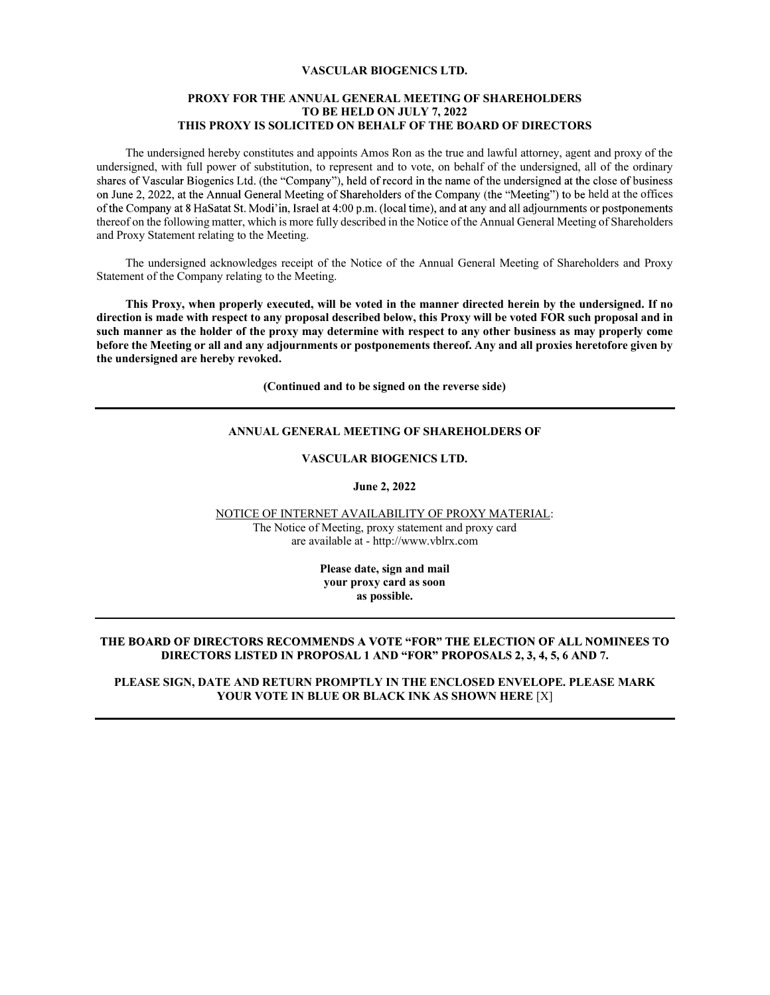# VASCULAR BIOGENICS LTD.

# PROXY FOR THE ANNUAL GENERAL MEETING OF SHAREHOLDERS TO BE HELD ON JULY 7, 2022 THIS PROXY IS SOLICITED ON BEHALF OF THE BOARD OF DIRECTORS

The undersigned hereby constitutes and appoints Amos Ron as the true and lawful attorney, agent and proxy of the undersigned, with full power of substitution, to represent and to vote, on behalf of the undersigned, all of the ordinary shares of Vascular Biogenics Ltd. (the "Company"), held of record in the name of the undersigned at the close of business on June 2, 2022, at the Annual General Meeting of Shareholders of the Company (the "Meeting") to be held at the offices of the Company at 8 HaSatat St. Modi'in, Israel at 4:00 p.m. (local time), and at any and all adjournments or postponements thereof on the following matter, which is more fully described in the Notice of the Annual General Meeting of Shareholders and Proxy Statement relating to the Meeting.

The undersigned acknowledges receipt of the Notice of the Annual General Meeting of Shareholders and Proxy Statement of the Company relating to the Meeting.

This Proxy, when properly executed, will be voted in the manner directed herein by the undersigned. If no direction is made with respect to any proposal described below, this Proxy will be voted FOR such proposal and in such manner as the holder of the proxy may determine with respect to any other business as may properly come before the Meeting or all and any adjournments or postponements thereof. Any and all proxies heretofore given by the undersigned are hereby revoked.

(Continued and to be signed on the reverse side)

#### ANNUAL GENERAL MEETING OF SHAREHOLDERS OF

## VASCULAR BIOGENICS LTD.

#### June 2, 2022

NOTICE OF INTERNET AVAILABILITY OF PROXY MATERIAL:

The Notice of Meeting, proxy statement and proxy card are available at - http://www.vblrx.com

> Please date, sign and mail your proxy card as soon as possible.

#### THE BOARD OF DIRECTORS RECOMMENDS A VOTE "FOR" THE ELECTION OF ALL NOMINEES TO DIRECTORS LISTED IN PROPOSAL 1 AND "FOR" PROPOSALS 2, 3, 4, 5, 6 AND 7.

PLEASE SIGN, DATE AND RETURN PROMPTLY IN THE ENCLOSED ENVELOPE. PLEASE MARK YOUR VOTE IN BLUE OR BLACK INK AS SHOWN HERE [X]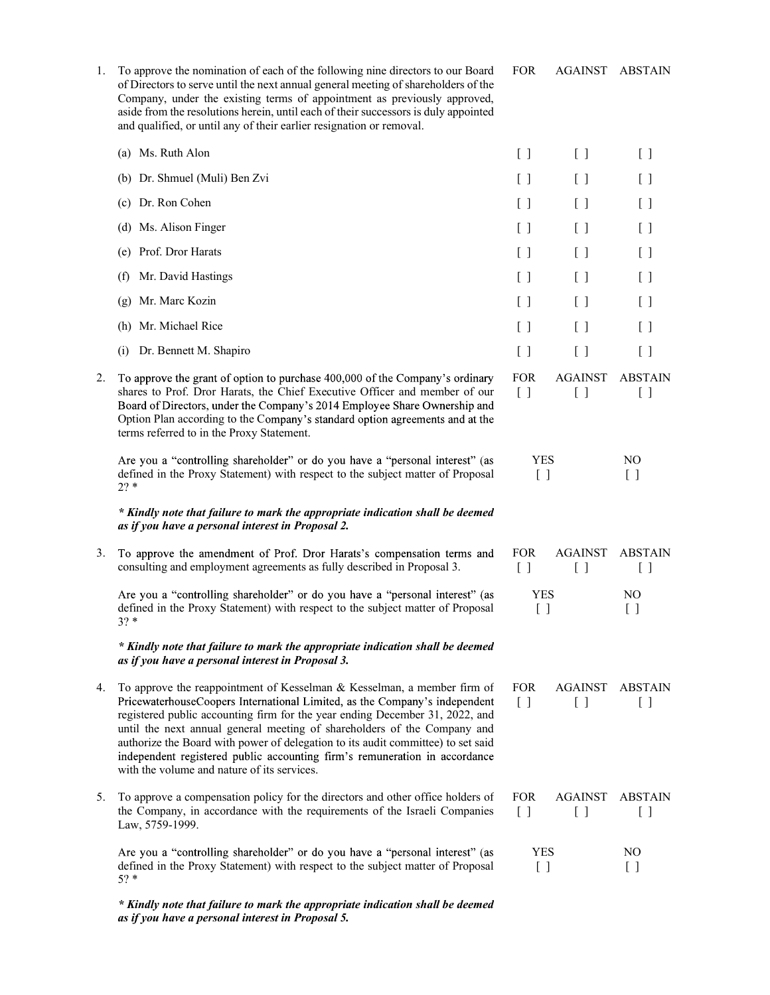| To approve the nomination of each of the following nine directors to our Board<br>of Directors to serve until the next annual general meeting of shareholders of the<br>Company, under the existing terms of appointment as previously approved,<br>aside from the resolutions herein, until each of their successors is duly appointed<br>and qualified, or until any of their earlier resignation or removal. | <b>FOR</b>                                      | <b>AGAINST ABSTAIN</b>                        |                                               |  |
|-----------------------------------------------------------------------------------------------------------------------------------------------------------------------------------------------------------------------------------------------------------------------------------------------------------------------------------------------------------------------------------------------------------------|-------------------------------------------------|-----------------------------------------------|-----------------------------------------------|--|
| (a) Ms. Ruth Alon                                                                                                                                                                                                                                                                                                                                                                                               | $[\ ]$                                          | $[\ ]$                                        | [ ]                                           |  |
| Dr. Shmuel (Muli) Ben Zvi<br>(b)                                                                                                                                                                                                                                                                                                                                                                                | $\left[ \begin{array}{c} \end{array} \right]$   | $\left[ \begin{array}{c} \end{array} \right]$ | $\left[ \begin{array}{c} \end{array} \right]$ |  |
| (c) Dr. Ron Cohen                                                                                                                                                                                                                                                                                                                                                                                               | $\left[ \begin{array}{c} \end{array} \right]$   | $\left[ \begin{array}{c} \end{array} \right]$ | [ ]                                           |  |
| Ms. Alison Finger<br>(d)                                                                                                                                                                                                                                                                                                                                                                                        | $\left[ \begin{array}{c} \end{array} \right]$   | $\left[ \begin{array}{c} \end{array} \right]$ | [ ]                                           |  |
| Prof. Dror Harats<br>(e)                                                                                                                                                                                                                                                                                                                                                                                        | $\left[ \begin{array}{c} \end{array} \right]$   | $\left[ \begin{array}{c} \end{array} \right]$ | [ ]                                           |  |
| Mr. David Hastings<br>(f)                                                                                                                                                                                                                                                                                                                                                                                       | $\left[ \begin{array}{c} \end{array} \right]$   | $[\ ]$                                        | $\left[ \begin{array}{c} \end{array} \right]$ |  |
| Mr. Marc Kozin<br>(g)                                                                                                                                                                                                                                                                                                                                                                                           | $\left[ \begin{array}{c} \end{array} \right]$   | $\left[ \begin{array}{c} \end{array} \right]$ | [ ]                                           |  |
| Mr. Michael Rice<br>(h)                                                                                                                                                                                                                                                                                                                                                                                         | $\left[ \begin{array}{c} \end{array} \right]$   | $\left[ \begin{array}{c} \end{array} \right]$ | [ ]                                           |  |
| Dr. Bennett M. Shapiro<br>(i)                                                                                                                                                                                                                                                                                                                                                                                   | $\left[ \begin{array}{c} \end{array} \right]$   | $\left[ \begin{array}{c} \end{array} \right]$ | [ ]                                           |  |
| To approve the grant of option to purchase 400,000 of the Company's ordinary<br>shares to Prof. Dror Harats, the Chief Executive Officer and member of our<br>Board of Directors, under the Company's 2014 Employee Share Ownership and<br>Option Plan according to the Company's standard option agreements and at the<br>terms referred to in the Proxy Statement.                                            | <b>FOR</b><br>$\begin{bmatrix} 1 \end{bmatrix}$ | <b>AGAINST</b><br>[ ]                         | <b>ABSTAIN</b><br>$[\ ]$                      |  |
| Are you a "controlling shareholder" or do you have a "personal interest" (as<br>defined in the Proxy Statement) with respect to the subject matter of Proposal<br>$2? *$                                                                                                                                                                                                                                        | <b>YES</b><br>$[\ ]$                            |                                               | N <sub>O</sub><br>$[\,\,]$                    |  |

# \* *Kindly note that failure to mark the appropriate indication shall be deemed*<br>
as if you have a personal interest in Proposal 2.<br>
3. To approve the amendment of Prof. Dror Harats's compensation terms and FOR AGAINS as if you have a personal interest in Proposal 2.

| 3. To approve the amendment of Prof. Dror Harats's compensation terms and<br>consulting and employment agreements as fully described in Proposal 3.                                                                                                                                                                                                                                                                                                                                                                                   | <b>FOR</b>                   | <b>AGAINST</b>           | <b>ABSTAIN</b> |  |
|---------------------------------------------------------------------------------------------------------------------------------------------------------------------------------------------------------------------------------------------------------------------------------------------------------------------------------------------------------------------------------------------------------------------------------------------------------------------------------------------------------------------------------------|------------------------------|--------------------------|----------------|--|
| Are you a "controlling shareholder" or do you have a "personal interest" (as<br>defined in the Proxy Statement) with respect to the subject matter of Proposal<br>$3? *$                                                                                                                                                                                                                                                                                                                                                              | <b>YES</b>                   |                          | NO.            |  |
| * Kindly note that failure to mark the appropriate indication shall be deemed<br>as if you have a personal interest in Proposal 3.                                                                                                                                                                                                                                                                                                                                                                                                    |                              |                          |                |  |
| 4. To approve the reappointment of Kesselman & Kesselman, a member firm of<br>PricewaterhouseCoopers International Limited, as the Company's independent<br>registered public accounting firm for the year ending December 31, 2022, and<br>until the next annual general meeting of shareholders of the Company and<br>authorize the Board with power of delegation to its audit committee) to set said<br>independent registered public accounting firm's remuneration in accordance<br>with the volume and nature of its services. | <b>FOR</b><br>$\blacksquare$ | <b>AGAINST</b><br>$\sim$ | <b>ABSTAIN</b> |  |
| 5. To approve a compensation policy for the directors and other office holders of<br>the Company, in accordance with the requirements of the Israeli Companies<br>Law, 5759-1999.                                                                                                                                                                                                                                                                                                                                                     | <b>FOR</b>                   | <b>AGAINST</b>           | <b>ABSTAIN</b> |  |

YES

NO

Are you a "controlling shareholder" or do you have a "personal interest" (as YES defined in the Proxy Statement) with respect to the subject matter of Proposal [] 5? \*  $\begin{bmatrix} 1 & 1 & 1 \end{bmatrix}$ 

 \* Kindly note that failure to mark the appropriate indication shall be deemed as if you have a personal interest in Proposal 5.